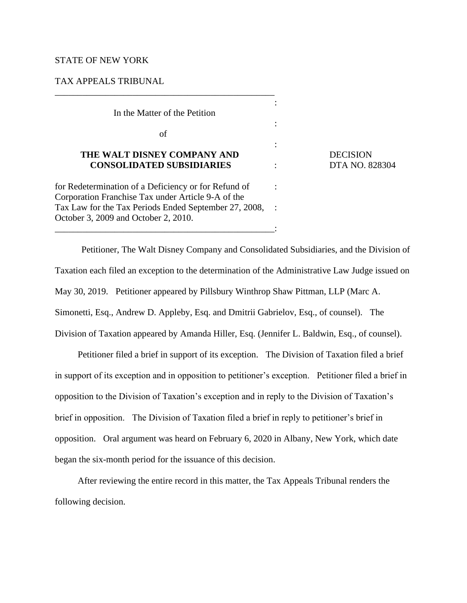## STATE OF NEW YORK

### TAX APPEALS TRIBUNAL

In the Matter of the Petition

\_\_\_\_\_\_\_\_\_\_\_\_\_\_\_\_\_\_\_\_\_\_\_\_\_\_\_\_\_\_\_\_\_\_\_\_\_\_\_\_\_\_\_\_\_\_\_\_

of

# **THE WALT DISNEY COMPANY AND** DECISION  **CONSOLIDATED SUBSIDIARIES** : DTA NO. 828304

for Redetermination of a Deficiency or for Refund of : Corporation Franchise Tax under Article 9-A of the Tax Law for the Tax Periods Ended September 27, 2008, : October 3, 2009 and October 2, 2010. \_\_\_\_\_\_\_\_\_\_\_\_\_\_\_\_\_\_\_\_\_\_\_\_\_\_\_\_\_\_\_\_\_\_\_\_\_\_\_\_\_\_\_\_\_\_\_\_:

Petitioner, The Walt Disney Company and Consolidated Subsidiaries, and the Division of Taxation each filed an exception to the determination of the Administrative Law Judge issued on May 30, 2019. Petitioner appeared by Pillsbury Winthrop Shaw Pittman, LLP (Marc A. Simonetti, Esq., Andrew D. Appleby, Esq. and Dmitrii Gabrielov, Esq., of counsel). The Division of Taxation appeared by Amanda Hiller, Esq. (Jennifer L. Baldwin, Esq., of counsel).

**Service Service Service Service** 

:

:

Petitioner filed a brief in support of its exception. The Division of Taxation filed a brief in support of its exception and in opposition to petitioner's exception. Petitioner filed a brief in opposition to the Division of Taxation's exception and in reply to the Division of Taxation's brief in opposition. The Division of Taxation filed a brief in reply to petitioner's brief in opposition. Oral argument was heard on February 6, 2020 in Albany, New York, which date began the six-month period for the issuance of this decision.

After reviewing the entire record in this matter, the Tax Appeals Tribunal renders the following decision.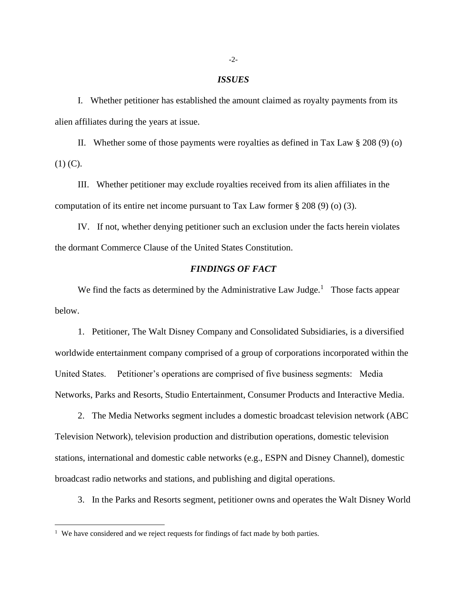### *ISSUES*

I. Whether petitioner has established the amount claimed as royalty payments from its alien affiliates during the years at issue.

II. Whether some of those payments were royalties as defined in Tax Law § 208 (9) (o)  $(1)$  (C).

III. Whether petitioner may exclude royalties received from its alien affiliates in the computation of its entire net income pursuant to Tax Law former § 208 (9) (o) (3).

IV. If not, whether denying petitioner such an exclusion under the facts herein violates the dormant Commerce Clause of the United States Constitution.

# *FINDINGS OF FACT*

We find the facts as determined by the Administrative Law Judge. $<sup>1</sup>$  Those facts appear</sup> below.

1. Petitioner, The Walt Disney Company and Consolidated Subsidiaries, is a diversified worldwide entertainment company comprised of a group of corporations incorporated within the United States. Petitioner's operations are comprised of five business segments: Media Networks, Parks and Resorts, Studio Entertainment, Consumer Products and Interactive Media.

2. The Media Networks segment includes a domestic broadcast television network (ABC Television Network), television production and distribution operations, domestic television stations, international and domestic cable networks (e.g., ESPN and Disney Channel), domestic broadcast radio networks and stations, and publishing and digital operations.

3. In the Parks and Resorts segment, petitioner owns and operates the Walt Disney World

<sup>&</sup>lt;sup>1</sup> We have considered and we reject requests for findings of fact made by both parties.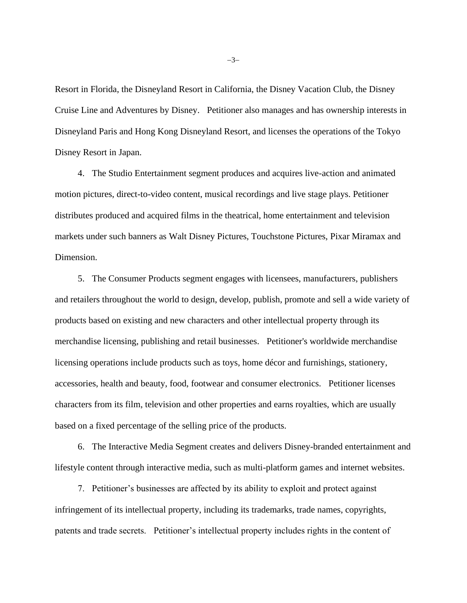Resort in Florida, the Disneyland Resort in California, the Disney Vacation Club, the Disney Cruise Line and Adventures by Disney. Petitioner also manages and has ownership interests in Disneyland Paris and Hong Kong Disneyland Resort, and licenses the operations of the Tokyo Disney Resort in Japan.

4. The Studio Entertainment segment produces and acquires live-action and animated motion pictures, direct-to-video content, musical recordings and live stage plays. Petitioner distributes produced and acquired films in the theatrical, home entertainment and television markets under such banners as Walt Disney Pictures, Touchstone Pictures, Pixar Miramax and Dimension.

5. The Consumer Products segment engages with licensees, manufacturers, publishers and retailers throughout the world to design, develop, publish, promote and sell a wide variety of products based on existing and new characters and other intellectual property through its merchandise licensing, publishing and retail businesses. Petitioner's worldwide merchandise licensing operations include products such as toys, home décor and furnishings, stationery, accessories, health and beauty, food, footwear and consumer electronics. Petitioner licenses characters from its film, television and other properties and earns royalties, which are usually based on a fixed percentage of the selling price of the products.

6. The Interactive Media Segment creates and delivers Disney-branded entertainment and lifestyle content through interactive media, such as multi-platform games and internet websites.

7. Petitioner's businesses are affected by its ability to exploit and protect against infringement of its intellectual property, including its trademarks, trade names, copyrights, patents and trade secrets. Petitioner's intellectual property includes rights in the content of

−3−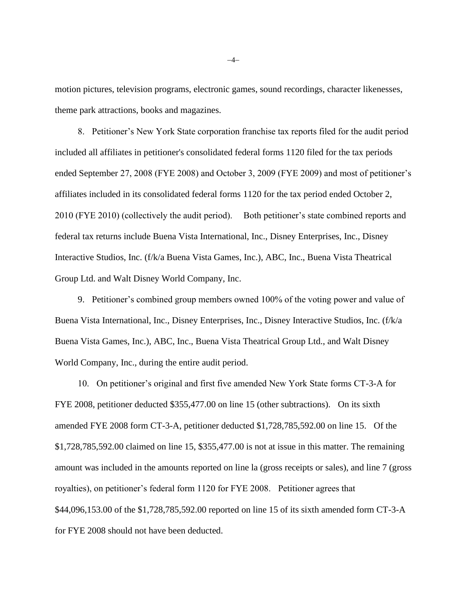motion pictures, television programs, electronic games, sound recordings, character likenesses, theme park attractions, books and magazines.

8. Petitioner's New York State corporation franchise tax reports filed for the audit period included all affiliates in petitioner's consolidated federal forms 1120 filed for the tax periods ended September 27, 2008 (FYE 2008) and October 3, 2009 (FYE 2009) and most of petitioner's affiliates included in its consolidated federal forms 1120 for the tax period ended October 2, 2010 (FYE 2010) (collectively the audit period). Both petitioner's state combined reports and federal tax returns include Buena Vista International, Inc., Disney Enterprises, Inc., Disney Interactive Studios, Inc. (f/k/a Buena Vista Games, Inc.), ABC, Inc., Buena Vista Theatrical Group Ltd. and Walt Disney World Company, Inc.

9. Petitioner's combined group members owned 100% of the voting power and value of Buena Vista International, Inc., Disney Enterprises, Inc., Disney Interactive Studios, Inc. (f/k/a Buena Vista Games, Inc.), ABC, Inc., Buena Vista Theatrical Group Ltd., and Walt Disney World Company, Inc., during the entire audit period.

10. On petitioner's original and first five amended New York State forms CT-3-A for FYE 2008, petitioner deducted \$355,477.00 on line 15 (other subtractions). On its sixth amended FYE 2008 form CT-3-A, petitioner deducted \$1,728,785,592.00 on line 15. Of the \$1,728,785,592.00 claimed on line 15, \$355,477.00 is not at issue in this matter. The remaining amount was included in the amounts reported on line la (gross receipts or sales), and line 7 (gross royalties), on petitioner's federal form 1120 for FYE 2008. Petitioner agrees that \$44,096,153.00 of the \$1,728,785,592.00 reported on line 15 of its sixth amended form CT-3-A for FYE 2008 should not have been deducted.

−4−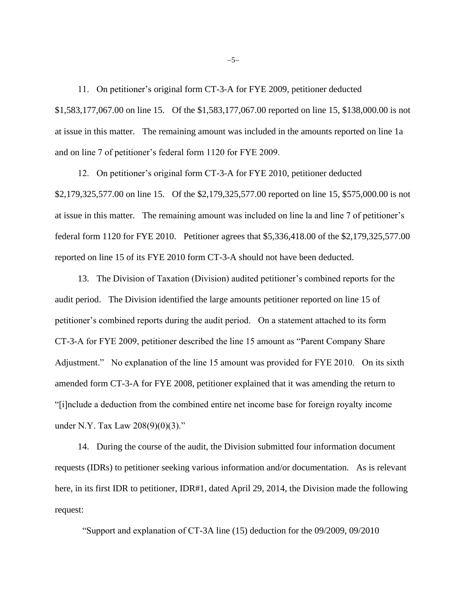11. On petitioner's original form CT-3-A for FYE 2009, petitioner deducted \$1,583,177,067.00 on line 15. Of the \$1,583,177,067.00 reported on line 15, \$138,000.00 is not at issue in this matter. The remaining amount was included in the amounts reported on line 1a and on line 7 of petitioner's federal form 1120 for FYE 2009.

12. On petitioner's original form CT-3-A for FYE 2010, petitioner deducted \$2,179,325,577.00 on line 15. Of the \$2,179,325,577.00 reported on line 15, \$575,000.00 is not at issue in this matter. The remaining amount was included on line la and line 7 of petitioner's federal form 1120 for FYE 2010. Petitioner agrees that \$5,336,418.00 of the \$2,179,325,577.00 reported on line 15 of its FYE 2010 form CT-3-A should not have been deducted.

13. The Division of Taxation (Division) audited petitioner's combined reports for the audit period. The Division identified the large amounts petitioner reported on line 15 of petitioner's combined reports during the audit period. On a statement attached to its form CT-3-A for FYE 2009, petitioner described the line 15 amount as "Parent Company Share Adjustment." No explanation of the line 15 amount was provided for FYE 2010. On its sixth amended form CT-3-A for FYE 2008, petitioner explained that it was amending the return to "[i]nclude a deduction from the combined entire net income base for foreign royalty income under N.Y. Tax Law 208(9)(0)(3)."

14. During the course of the audit, the Division submitted four information document requests (IDRs) to petitioner seeking various information and/or documentation. As is relevant here, in its first IDR to petitioner, IDR#1, dated April 29, 2014, the Division made the following request:

"Support and explanation of CT-3A line (15) deduction for the 09/2009, 09/2010

−5−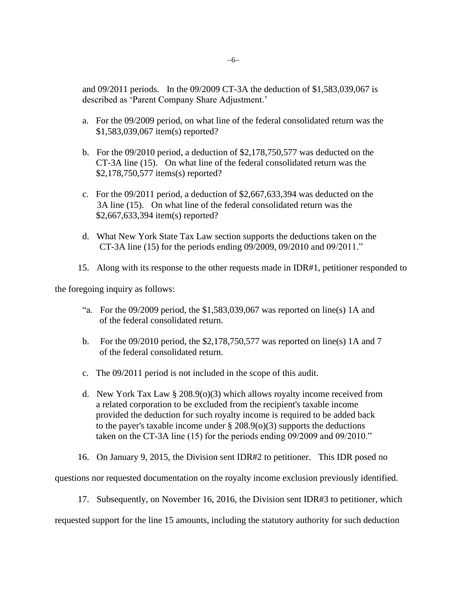and 09/2011 periods. In the 09/2009 CT-3A the deduction of \$1,583,039,067 is described as 'Parent Company Share Adjustment.'

- a. For the 09/2009 period, on what line of the federal consolidated return was the \$1,583,039,067 item(s) reported?
- b. For the 09/2010 period, a deduction of \$2,178,750,577 was deducted on the CT-3A line (15). On what line of the federal consolidated return was the \$2,178,750,577 items(s) reported?
- c. For the 09/2011 period, a deduction of \$2,667,633,394 was deducted on the 3A line (15). On what line of the federal consolidated return was the \$2,667,633,394 item(s) reported?
- d. What New York State Tax Law section supports the deductions taken on the CT-3A line (15) for the periods ending 09/2009, 09/2010 and 09/2011."
- 15. Along with its response to the other requests made in IDR#1, petitioner responded to

the foregoing inquiry as follows:

- "a. For the  $09/2009$  period, the \$1,583,039,067 was reported on line(s) 1A and of the federal consolidated return.
- b. For the 09/2010 period, the \$2,178,750,577 was reported on line(s) 1A and 7 of the federal consolidated return.
- c. The 09/2011 period is not included in the scope of this audit.
- d. New York Tax Law  $\S 208.9(0)(3)$  which allows royalty income received from a related corporation to be excluded from the recipient's taxable income provided the deduction for such royalty income is required to be added back to the payer's taxable income under  $\S 208.9(0)(3)$  supports the deductions taken on the CT-3A line (15) for the periods ending 09/2009 and 09/2010."
- 16. On January 9, 2015, the Division sent IDR#2 to petitioner. This IDR posed no

questions nor requested documentation on the royalty income exclusion previously identified.

17. Subsequently, on November 16, 2016, the Division sent IDR#3 to petitioner, which

requested support for the line 15 amounts, including the statutory authority for such deduction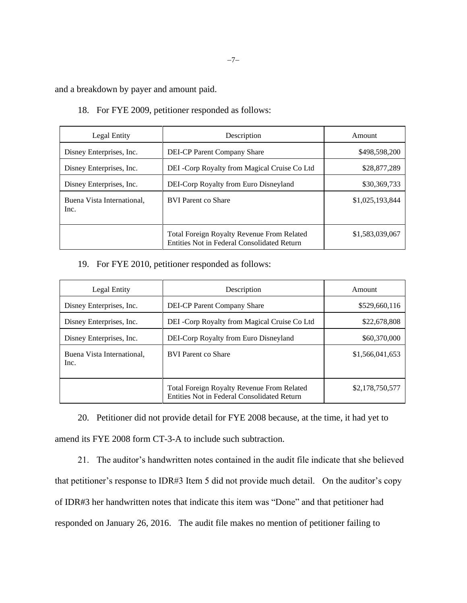and a breakdown by payer and amount paid.

18. For FYE 2009, petitioner responded as follows:

| Legal Entity                       | Description                                                                               | Amount          |
|------------------------------------|-------------------------------------------------------------------------------------------|-----------------|
| Disney Enterprises, Inc.           | DEI-CP Parent Company Share                                                               | \$498,598,200   |
| Disney Enterprises, Inc.           | DEI -Corp Royalty from Magical Cruise Co Ltd                                              | \$28,877,289    |
| Disney Enterprises, Inc.           | DEI-Corp Royalty from Euro Disneyland                                                     | \$30,369,733    |
| Buena Vista International,<br>Inc. | <b>BVI</b> Parent co Share                                                                | \$1,025,193,844 |
|                                    | Total Foreign Royalty Revenue From Related<br>Entities Not in Federal Consolidated Return | \$1,583,039,067 |

19. For FYE 2010, petitioner responded as follows:

| Legal Entity                       | Description                                                                                      | Amount          |
|------------------------------------|--------------------------------------------------------------------------------------------------|-----------------|
| Disney Enterprises, Inc.           | <b>DEI-CP Parent Company Share</b>                                                               | \$529,660,116   |
| Disney Enterprises, Inc.           | DEI -Corp Royalty from Magical Cruise Co Ltd                                                     | \$22,678,808    |
| Disney Enterprises, Inc.           | DEI-Corp Royalty from Euro Disneyland                                                            | \$60,370,000    |
| Buena Vista International.<br>Inc. | <b>BVI</b> Parent co Share                                                                       | \$1,566,041,653 |
|                                    | <b>Total Foreign Royalty Revenue From Related</b><br>Entities Not in Federal Consolidated Return | \$2,178,750,577 |

20. Petitioner did not provide detail for FYE 2008 because, at the time, it had yet to amend its FYE 2008 form CT-3-A to include such subtraction.

21. The auditor's handwritten notes contained in the audit file indicate that she believed that petitioner's response to IDR#3 Item 5 did not provide much detail. On the auditor's copy of IDR#3 her handwritten notes that indicate this item was "Done" and that petitioner had responded on January 26, 2016. The audit file makes no mention of petitioner failing to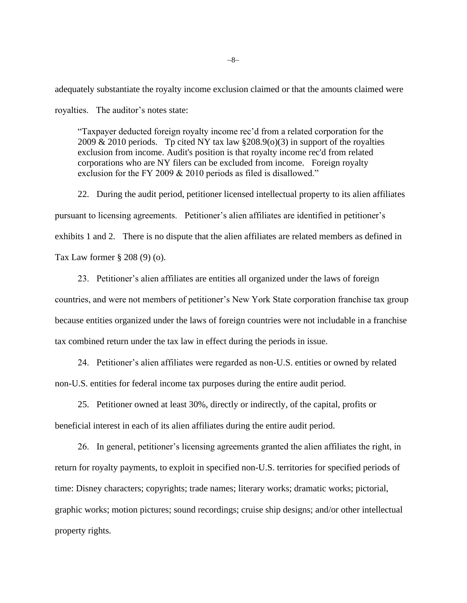adequately substantiate the royalty income exclusion claimed or that the amounts claimed were royalties. The auditor's notes state:

"Taxpayer deducted foreign royalty income rec'd from a related corporation for the 2009 & 2010 periods. Tp cited NY tax law  $\S 208.9(0)(3)$  in support of the royalties exclusion from income. Audit's position is that royalty income rec'd from related corporations who are NY filers can be excluded from income. Foreign royalty exclusion for the FY 2009 & 2010 periods as filed is disallowed."

22. During the audit period, petitioner licensed intellectual property to its alien affiliates pursuant to licensing agreements. Petitioner's alien affiliates are identified in petitioner's exhibits 1 and 2. There is no dispute that the alien affiliates are related members as defined in Tax Law former § 208 (9) (o).

23. Petitioner's alien affiliates are entities all organized under the laws of foreign countries, and were not members of petitioner's New York State corporation franchise tax group because entities organized under the laws of foreign countries were not includable in a franchise tax combined return under the tax law in effect during the periods in issue.

24. Petitioner's alien affiliates were regarded as non-U.S. entities or owned by related non-U.S. entities for federal income tax purposes during the entire audit period.

25. Petitioner owned at least 30%, directly or indirectly, of the capital, profits or beneficial interest in each of its alien affiliates during the entire audit period.

26. In general, petitioner's licensing agreements granted the alien affiliates the right, in return for royalty payments, to exploit in specified non-U.S. territories for specified periods of time: Disney characters; copyrights; trade names; literary works; dramatic works; pictorial, graphic works; motion pictures; sound recordings; cruise ship designs; and/or other intellectual property rights.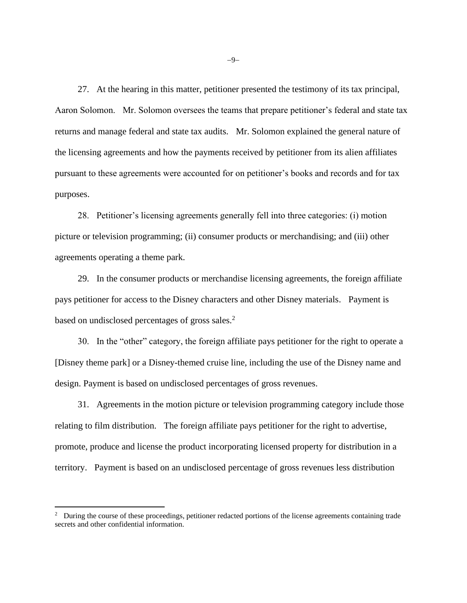27. At the hearing in this matter, petitioner presented the testimony of its tax principal, Aaron Solomon. Mr. Solomon oversees the teams that prepare petitioner's federal and state tax returns and manage federal and state tax audits. Mr. Solomon explained the general nature of the licensing agreements and how the payments received by petitioner from its alien affiliates pursuant to these agreements were accounted for on petitioner's books and records and for tax purposes.

28. Petitioner's licensing agreements generally fell into three categories: (i) motion picture or television programming; (ii) consumer products or merchandising; and (iii) other agreements operating a theme park.

29. In the consumer products or merchandise licensing agreements, the foreign affiliate pays petitioner for access to the Disney characters and other Disney materials. Payment is based on undisclosed percentages of gross sales.<sup>2</sup>

30. In the "other" category, the foreign affiliate pays petitioner for the right to operate a [Disney theme park] or a Disney-themed cruise line, including the use of the Disney name and design. Payment is based on undisclosed percentages of gross revenues.

31. Agreements in the motion picture or television programming category include those relating to film distribution. The foreign affiliate pays petitioner for the right to advertise, promote, produce and license the product incorporating licensed property for distribution in a territory. Payment is based on an undisclosed percentage of gross revenues less distribution

−9−

<sup>&</sup>lt;sup>2</sup> During the course of these proceedings, petitioner redacted portions of the license agreements containing trade secrets and other confidential information.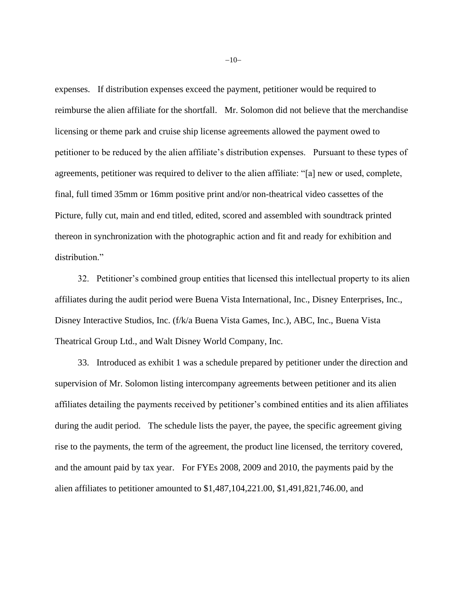expenses. If distribution expenses exceed the payment, petitioner would be required to reimburse the alien affiliate for the shortfall. Mr. Solomon did not believe that the merchandise licensing or theme park and cruise ship license agreements allowed the payment owed to petitioner to be reduced by the alien affiliate's distribution expenses. Pursuant to these types of agreements, petitioner was required to deliver to the alien affiliate: "[a] new or used, complete, final, full timed 35mm or 16mm positive print and/or non-theatrical video cassettes of the Picture, fully cut, main and end titled, edited, scored and assembled with soundtrack printed thereon in synchronization with the photographic action and fit and ready for exhibition and distribution."

32. Petitioner's combined group entities that licensed this intellectual property to its alien affiliates during the audit period were Buena Vista International, Inc., Disney Enterprises, Inc., Disney Interactive Studios, Inc. (f/k/a Buena Vista Games, Inc.), ABC, Inc., Buena Vista Theatrical Group Ltd., and Walt Disney World Company, Inc.

33. Introduced as exhibit 1 was a schedule prepared by petitioner under the direction and supervision of Mr. Solomon listing intercompany agreements between petitioner and its alien affiliates detailing the payments received by petitioner's combined entities and its alien affiliates during the audit period. The schedule lists the payer, the payee, the specific agreement giving rise to the payments, the term of the agreement, the product line licensed, the territory covered, and the amount paid by tax year. For FYEs 2008, 2009 and 2010, the payments paid by the alien affiliates to petitioner amounted to \$1,487,104,221.00, \$1,491,821,746.00, and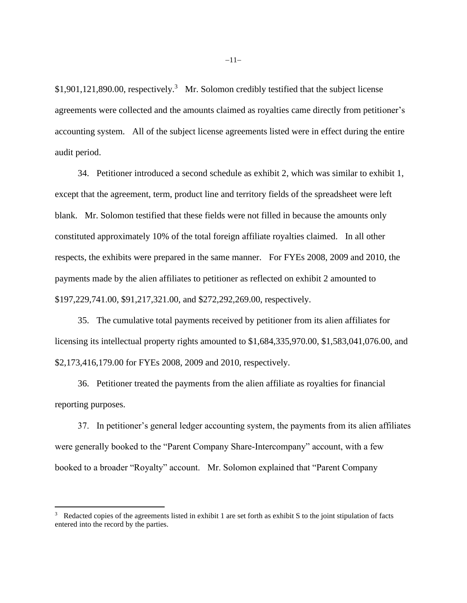$$1,901,121,890.00$ , respectively.<sup>3</sup> Mr. Solomon credibly testified that the subject license agreements were collected and the amounts claimed as royalties came directly from petitioner's accounting system. All of the subject license agreements listed were in effect during the entire audit period.

34. Petitioner introduced a second schedule as exhibit 2, which was similar to exhibit 1, except that the agreement, term, product line and territory fields of the spreadsheet were left blank. Mr. Solomon testified that these fields were not filled in because the amounts only constituted approximately 10% of the total foreign affiliate royalties claimed. In all other respects, the exhibits were prepared in the same manner. For FYEs 2008, 2009 and 2010, the payments made by the alien affiliates to petitioner as reflected on exhibit 2 amounted to \$197,229,741.00, \$91,217,321.00, and \$272,292,269.00, respectively.

35. The cumulative total payments received by petitioner from its alien affiliates for licensing its intellectual property rights amounted to \$1,684,335,970.00, \$1,583,041,076.00, and \$2,173,416,179.00 for FYEs 2008, 2009 and 2010, respectively.

36. Petitioner treated the payments from the alien affiliate as royalties for financial reporting purposes.

37. In petitioner's general ledger accounting system, the payments from its alien affiliates were generally booked to the "Parent Company Share-Intercompany" account, with a few booked to a broader "Royalty" account. Mr. Solomon explained that "Parent Company

<sup>&</sup>lt;sup>3</sup> Redacted copies of the agreements listed in exhibit 1 are set forth as exhibit S to the joint stipulation of facts entered into the record by the parties.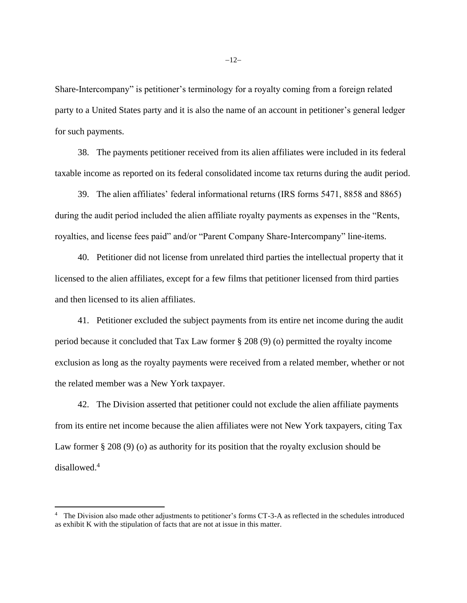Share-Intercompany" is petitioner's terminology for a royalty coming from a foreign related party to a United States party and it is also the name of an account in petitioner's general ledger for such payments.

38. The payments petitioner received from its alien affiliates were included in its federal taxable income as reported on its federal consolidated income tax returns during the audit period.

39. The alien affiliates' federal informational returns (IRS forms 5471, 8858 and 8865) during the audit period included the alien affiliate royalty payments as expenses in the "Rents, royalties, and license fees paid" and/or "Parent Company Share-Intercompany" line-items.

40. Petitioner did not license from unrelated third parties the intellectual property that it licensed to the alien affiliates, except for a few films that petitioner licensed from third parties and then licensed to its alien affiliates.

41. Petitioner excluded the subject payments from its entire net income during the audit period because it concluded that Tax Law former § 208 (9) (o) permitted the royalty income exclusion as long as the royalty payments were received from a related member, whether or not the related member was a New York taxpayer.

42. The Division asserted that petitioner could not exclude the alien affiliate payments from its entire net income because the alien affiliates were not New York taxpayers, citing Tax Law former § 208 (9) (o) as authority for its position that the royalty exclusion should be disallowed.<sup>4</sup>

<sup>&</sup>lt;sup>4</sup> The Division also made other adjustments to petitioner's forms CT-3-A as reflected in the schedules introduced as exhibit K with the stipulation of facts that are not at issue in this matter.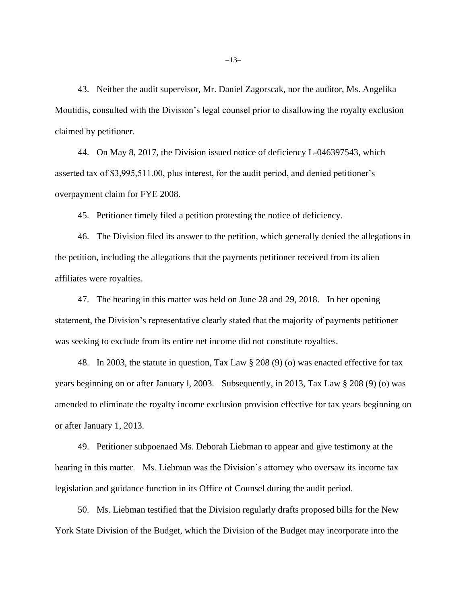43. Neither the audit supervisor, Mr. Daniel Zagorscak, nor the auditor, Ms. Angelika Moutidis, consulted with the Division's legal counsel prior to disallowing the royalty exclusion claimed by petitioner.

44. On May 8, 2017, the Division issued notice of deficiency L-046397543, which asserted tax of \$3,995,511.00, plus interest, for the audit period, and denied petitioner's overpayment claim for FYE 2008.

45. Petitioner timely filed a petition protesting the notice of deficiency.

46. The Division filed its answer to the petition, which generally denied the allegations in the petition, including the allegations that the payments petitioner received from its alien affiliates were royalties.

47. The hearing in this matter was held on June 28 and 29, 2018. In her opening statement, the Division's representative clearly stated that the majority of payments petitioner was seeking to exclude from its entire net income did not constitute royalties.

48. In 2003, the statute in question, Tax Law § 208 (9) (o) was enacted effective for tax years beginning on or after January l, 2003. Subsequently, in 2013, Tax Law § 208 (9) (o) was amended to eliminate the royalty income exclusion provision effective for tax years beginning on or after January 1, 2013.

49. Petitioner subpoenaed Ms. Deborah Liebman to appear and give testimony at the hearing in this matter. Ms. Liebman was the Division's attorney who oversaw its income tax legislation and guidance function in its Office of Counsel during the audit period.

50. Ms. Liebman testified that the Division regularly drafts proposed bills for the New York State Division of the Budget, which the Division of the Budget may incorporate into the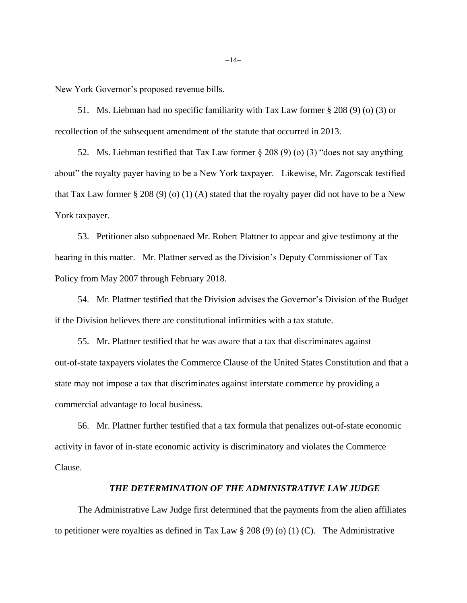New York Governor's proposed revenue bills.

51. Ms. Liebman had no specific familiarity with Tax Law former § 208 (9) (o) (3) or recollection of the subsequent amendment of the statute that occurred in 2013.

52. Ms. Liebman testified that Tax Law former § 208 (9) (o) (3) "does not say anything about" the royalty payer having to be a New York taxpayer. Likewise, Mr. Zagorscak testified that Tax Law former  $\S 208 (9) (0) (1) (A)$  stated that the royalty payer did not have to be a New York taxpayer.

53. Petitioner also subpoenaed Mr. Robert Plattner to appear and give testimony at the hearing in this matter. Mr. Plattner served as the Division's Deputy Commissioner of Tax Policy from May 2007 through February 2018.

54. Mr. Plattner testified that the Division advises the Governor's Division of the Budget if the Division believes there are constitutional infirmities with a tax statute.

55. Mr. Plattner testified that he was aware that a tax that discriminates against out-of-state taxpayers violates the Commerce Clause of the United States Constitution and that a state may not impose a tax that discriminates against interstate commerce by providing a commercial advantage to local business.

56. Mr. Plattner further testified that a tax formula that penalizes out-of-state economic activity in favor of in-state economic activity is discriminatory and violates the Commerce Clause.

### *THE DETERMINATION OF THE ADMINISTRATIVE LAW JUDGE*

The Administrative Law Judge first determined that the payments from the alien affiliates to petitioner were royalties as defined in Tax Law  $\S 208 (9) (0) (1) (C)$ . The Administrative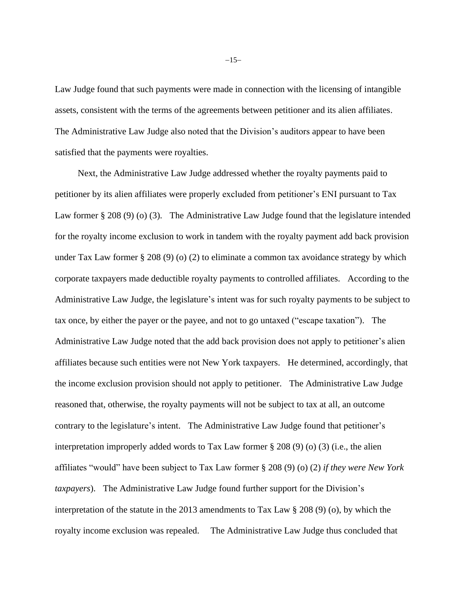Law Judge found that such payments were made in connection with the licensing of intangible assets, consistent with the terms of the agreements between petitioner and its alien affiliates. The Administrative Law Judge also noted that the Division's auditors appear to have been satisfied that the payments were royalties.

Next, the Administrative Law Judge addressed whether the royalty payments paid to petitioner by its alien affiliates were properly excluded from petitioner's ENI pursuant to Tax Law former § 208 (9) (o) (3). The Administrative Law Judge found that the legislature intended for the royalty income exclusion to work in tandem with the royalty payment add back provision under Tax Law former § 208 (9) (o) (2) to eliminate a common tax avoidance strategy by which corporate taxpayers made deductible royalty payments to controlled affiliates. According to the Administrative Law Judge, the legislature's intent was for such royalty payments to be subject to tax once, by either the payer or the payee, and not to go untaxed ("escape taxation"). The Administrative Law Judge noted that the add back provision does not apply to petitioner's alien affiliates because such entities were not New York taxpayers. He determined, accordingly, that the income exclusion provision should not apply to petitioner. The Administrative Law Judge reasoned that, otherwise, the royalty payments will not be subject to tax at all, an outcome contrary to the legislature's intent. The Administrative Law Judge found that petitioner's interpretation improperly added words to Tax Law former  $\S 208 (9)$  (o) (3) (i.e., the alien affiliates "would" have been subject to Tax Law former § 208 (9) (o) (2) *if they were New York taxpayers*). The Administrative Law Judge found further support for the Division's interpretation of the statute in the 2013 amendments to Tax Law § 208 (9) (o), by which the royalty income exclusion was repealed. The Administrative Law Judge thus concluded that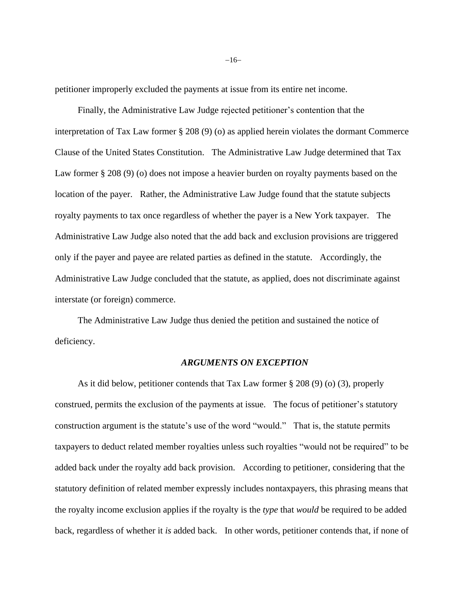petitioner improperly excluded the payments at issue from its entire net income.

Finally, the Administrative Law Judge rejected petitioner's contention that the interpretation of Tax Law former § 208 (9) (o) as applied herein violates the dormant Commerce Clause of the United States Constitution. The Administrative Law Judge determined that Tax Law former § 208 (9) (o) does not impose a heavier burden on royalty payments based on the location of the payer. Rather, the Administrative Law Judge found that the statute subjects royalty payments to tax once regardless of whether the payer is a New York taxpayer. The Administrative Law Judge also noted that the add back and exclusion provisions are triggered only if the payer and payee are related parties as defined in the statute. Accordingly, the Administrative Law Judge concluded that the statute, as applied, does not discriminate against interstate (or foreign) commerce.

The Administrative Law Judge thus denied the petition and sustained the notice of deficiency.

### *ARGUMENTS ON EXCEPTION*

As it did below, petitioner contends that Tax Law former § 208 (9) (o) (3), properly construed, permits the exclusion of the payments at issue. The focus of petitioner's statutory construction argument is the statute's use of the word "would." That is, the statute permits taxpayers to deduct related member royalties unless such royalties "would not be required" to be added back under the royalty add back provision. According to petitioner, considering that the statutory definition of related member expressly includes nontaxpayers, this phrasing means that the royalty income exclusion applies if the royalty is the *type* that *would* be required to be added back, regardless of whether it *is* added back. In other words, petitioner contends that, if none of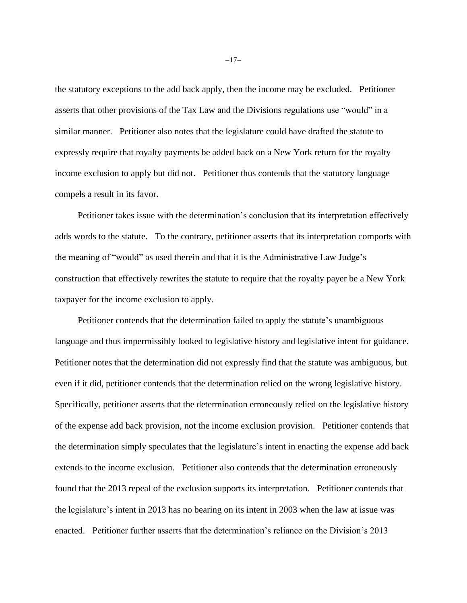the statutory exceptions to the add back apply, then the income may be excluded. Petitioner asserts that other provisions of the Tax Law and the Divisions regulations use "would" in a similar manner. Petitioner also notes that the legislature could have drafted the statute to expressly require that royalty payments be added back on a New York return for the royalty income exclusion to apply but did not. Petitioner thus contends that the statutory language compels a result in its favor.

Petitioner takes issue with the determination's conclusion that its interpretation effectively adds words to the statute. To the contrary, petitioner asserts that its interpretation comports with the meaning of "would" as used therein and that it is the Administrative Law Judge's construction that effectively rewrites the statute to require that the royalty payer be a New York taxpayer for the income exclusion to apply.

Petitioner contends that the determination failed to apply the statute's unambiguous language and thus impermissibly looked to legislative history and legislative intent for guidance. Petitioner notes that the determination did not expressly find that the statute was ambiguous, but even if it did, petitioner contends that the determination relied on the wrong legislative history. Specifically, petitioner asserts that the determination erroneously relied on the legislative history of the expense add back provision, not the income exclusion provision. Petitioner contends that the determination simply speculates that the legislature's intent in enacting the expense add back extends to the income exclusion. Petitioner also contends that the determination erroneously found that the 2013 repeal of the exclusion supports its interpretation. Petitioner contends that the legislature's intent in 2013 has no bearing on its intent in 2003 when the law at issue was enacted. Petitioner further asserts that the determination's reliance on the Division's 2013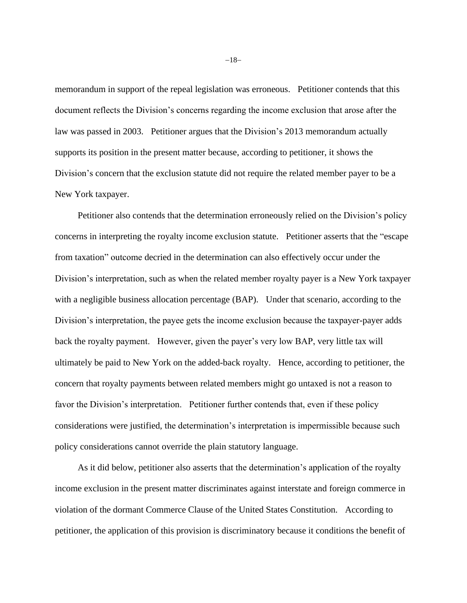memorandum in support of the repeal legislation was erroneous. Petitioner contends that this document reflects the Division's concerns regarding the income exclusion that arose after the law was passed in 2003. Petitioner argues that the Division's 2013 memorandum actually supports its position in the present matter because, according to petitioner, it shows the Division's concern that the exclusion statute did not require the related member payer to be a New York taxpayer.

Petitioner also contends that the determination erroneously relied on the Division's policy concerns in interpreting the royalty income exclusion statute. Petitioner asserts that the "escape from taxation" outcome decried in the determination can also effectively occur under the Division's interpretation, such as when the related member royalty payer is a New York taxpayer with a negligible business allocation percentage (BAP). Under that scenario, according to the Division's interpretation, the payee gets the income exclusion because the taxpayer-payer adds back the royalty payment. However, given the payer's very low BAP, very little tax will ultimately be paid to New York on the added-back royalty. Hence, according to petitioner, the concern that royalty payments between related members might go untaxed is not a reason to favor the Division's interpretation. Petitioner further contends that, even if these policy considerations were justified, the determination's interpretation is impermissible because such policy considerations cannot override the plain statutory language.

As it did below, petitioner also asserts that the determination's application of the royalty income exclusion in the present matter discriminates against interstate and foreign commerce in violation of the dormant Commerce Clause of the United States Constitution. According to petitioner, the application of this provision is discriminatory because it conditions the benefit of

−18−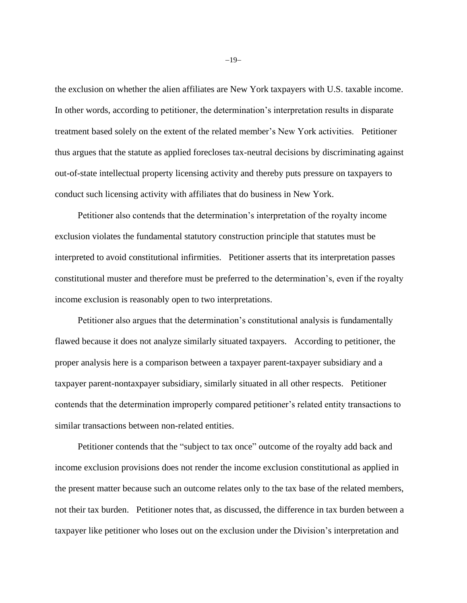the exclusion on whether the alien affiliates are New York taxpayers with U.S. taxable income. In other words, according to petitioner, the determination's interpretation results in disparate treatment based solely on the extent of the related member's New York activities. Petitioner thus argues that the statute as applied forecloses tax-neutral decisions by discriminating against out-of-state intellectual property licensing activity and thereby puts pressure on taxpayers to conduct such licensing activity with affiliates that do business in New York.

Petitioner also contends that the determination's interpretation of the royalty income exclusion violates the fundamental statutory construction principle that statutes must be interpreted to avoid constitutional infirmities. Petitioner asserts that its interpretation passes constitutional muster and therefore must be preferred to the determination's, even if the royalty income exclusion is reasonably open to two interpretations.

Petitioner also argues that the determination's constitutional analysis is fundamentally flawed because it does not analyze similarly situated taxpayers. According to petitioner, the proper analysis here is a comparison between a taxpayer parent-taxpayer subsidiary and a taxpayer parent-nontaxpayer subsidiary, similarly situated in all other respects. Petitioner contends that the determination improperly compared petitioner's related entity transactions to similar transactions between non-related entities.

Petitioner contends that the "subject to tax once" outcome of the royalty add back and income exclusion provisions does not render the income exclusion constitutional as applied in the present matter because such an outcome relates only to the tax base of the related members, not their tax burden. Petitioner notes that, as discussed, the difference in tax burden between a taxpayer like petitioner who loses out on the exclusion under the Division's interpretation and

−19−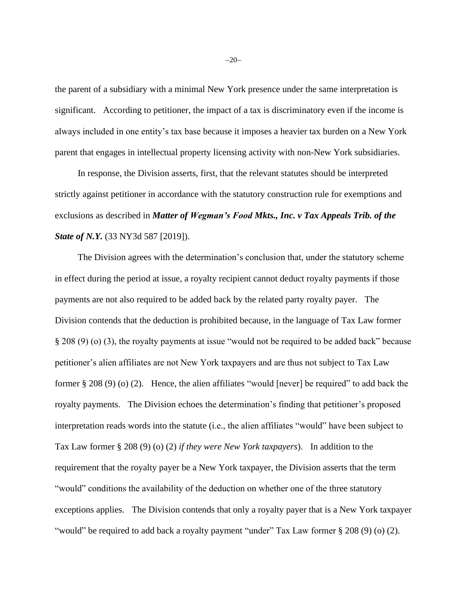the parent of a subsidiary with a minimal New York presence under the same interpretation is significant. According to petitioner, the impact of a tax is discriminatory even if the income is always included in one entity's tax base because it imposes a heavier tax burden on a New York parent that engages in intellectual property licensing activity with non-New York subsidiaries.

In response, the Division asserts, first, that the relevant statutes should be interpreted strictly against petitioner in accordance with the statutory construction rule for exemptions and exclusions as described in *Matter of Wegman's Food Mkts., Inc. v Tax Appeals Trib. of the State of N.Y.* (33 NY3d 587 [2019]).

The Division agrees with the determination's conclusion that, under the statutory scheme in effect during the period at issue, a royalty recipient cannot deduct royalty payments if those payments are not also required to be added back by the related party royalty payer. The Division contends that the deduction is prohibited because, in the language of Tax Law former § 208 (9) (o) (3), the royalty payments at issue "would not be required to be added back" because petitioner's alien affiliates are not New York taxpayers and are thus not subject to Tax Law former  $\S 208 (9) (0) (2)$ . Hence, the alien affiliates "would [never] be required" to add back the royalty payments. The Division echoes the determination's finding that petitioner's proposed interpretation reads words into the statute (i.e., the alien affiliates "would" have been subject to Tax Law former § 208 (9) (o) (2) *if they were New York taxpayers*). In addition to the requirement that the royalty payer be a New York taxpayer, the Division asserts that the term "would" conditions the availability of the deduction on whether one of the three statutory exceptions applies. The Division contends that only a royalty payer that is a New York taxpayer "would" be required to add back a royalty payment "under" Tax Law former § 208 (9) (o) (2).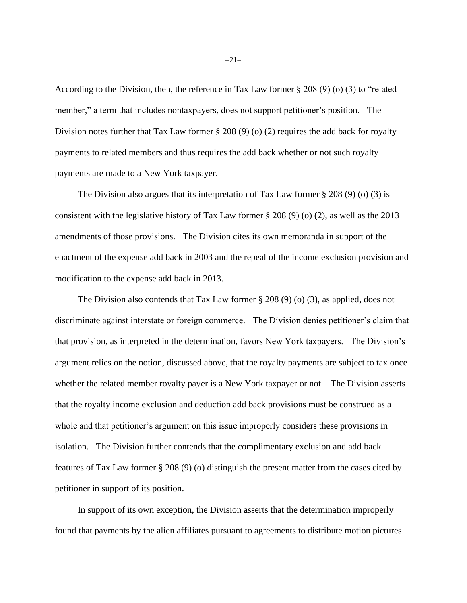According to the Division, then, the reference in Tax Law former § 208 (9) (o) (3) to "related member," a term that includes nontaxpayers, does not support petitioner's position. The Division notes further that Tax Law former § 208 (9) (o) (2) requires the add back for royalty payments to related members and thus requires the add back whether or not such royalty payments are made to a New York taxpayer.

The Division also argues that its interpretation of Tax Law former  $\S 208 (9)$  (o) (3) is consistent with the legislative history of Tax Law former § 208 (9) (o) (2), as well as the 2013 amendments of those provisions. The Division cites its own memoranda in support of the enactment of the expense add back in 2003 and the repeal of the income exclusion provision and modification to the expense add back in 2013.

The Division also contends that Tax Law former  $\S 208 (9) (0) (3)$ , as applied, does not discriminate against interstate or foreign commerce. The Division denies petitioner's claim that that provision, as interpreted in the determination, favors New York taxpayers. The Division's argument relies on the notion, discussed above, that the royalty payments are subject to tax once whether the related member royalty payer is a New York taxpayer or not. The Division asserts that the royalty income exclusion and deduction add back provisions must be construed as a whole and that petitioner's argument on this issue improperly considers these provisions in isolation. The Division further contends that the complimentary exclusion and add back features of Tax Law former § 208 (9) (o) distinguish the present matter from the cases cited by petitioner in support of its position.

In support of its own exception, the Division asserts that the determination improperly found that payments by the alien affiliates pursuant to agreements to distribute motion pictures

−21−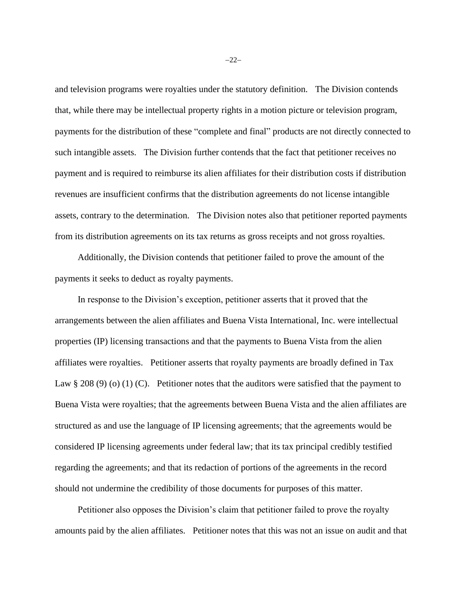and television programs were royalties under the statutory definition. The Division contends that, while there may be intellectual property rights in a motion picture or television program, payments for the distribution of these "complete and final" products are not directly connected to such intangible assets. The Division further contends that the fact that petitioner receives no payment and is required to reimburse its alien affiliates for their distribution costs if distribution revenues are insufficient confirms that the distribution agreements do not license intangible assets, contrary to the determination. The Division notes also that petitioner reported payments from its distribution agreements on its tax returns as gross receipts and not gross royalties.

Additionally, the Division contends that petitioner failed to prove the amount of the payments it seeks to deduct as royalty payments.

In response to the Division's exception, petitioner asserts that it proved that the arrangements between the alien affiliates and Buena Vista International, Inc. were intellectual properties (IP) licensing transactions and that the payments to Buena Vista from the alien affiliates were royalties. Petitioner asserts that royalty payments are broadly defined in Tax Law § 208 (9) (o) (1) (C). Petitioner notes that the auditors were satisfied that the payment to Buena Vista were royalties; that the agreements between Buena Vista and the alien affiliates are structured as and use the language of IP licensing agreements; that the agreements would be considered IP licensing agreements under federal law; that its tax principal credibly testified regarding the agreements; and that its redaction of portions of the agreements in the record should not undermine the credibility of those documents for purposes of this matter.

Petitioner also opposes the Division's claim that petitioner failed to prove the royalty amounts paid by the alien affiliates. Petitioner notes that this was not an issue on audit and that

−22−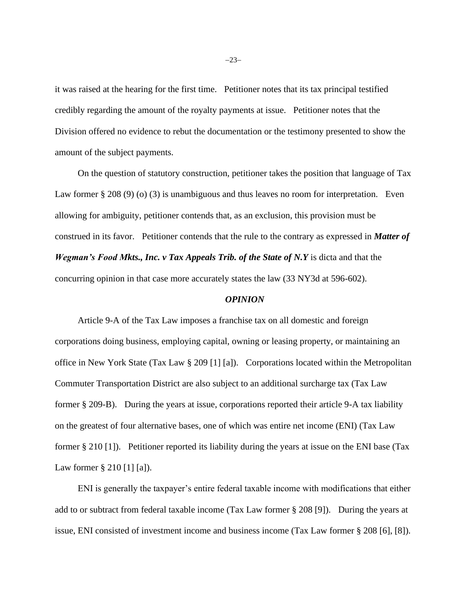it was raised at the hearing for the first time. Petitioner notes that its tax principal testified credibly regarding the amount of the royalty payments at issue. Petitioner notes that the Division offered no evidence to rebut the documentation or the testimony presented to show the amount of the subject payments.

On the question of statutory construction, petitioner takes the position that language of Tax Law former § 208 (9) (o) (3) is unambiguous and thus leaves no room for interpretation. Even allowing for ambiguity, petitioner contends that, as an exclusion, this provision must be construed in its favor. Petitioner contends that the rule to the contrary as expressed in *Matter of Wegman's Food Mkts., Inc. v Tax Appeals Trib. of the State of N.Y* is dicta and that the concurring opinion in that case more accurately states the law (33 NY3d at 596-602).

#### *OPINION*

Article 9-A of the Tax Law imposes a franchise tax on all domestic and foreign corporations doing business, employing capital, owning or leasing property, or maintaining an office in New York State (Tax Law § 209 [1] [a]). Corporations located within the Metropolitan Commuter Transportation District are also subject to an additional surcharge tax (Tax Law former § 209-B). During the years at issue, corporations reported their article 9-A tax liability on the greatest of four alternative bases, one of which was entire net income (ENI) (Tax Law former § 210 [1]). Petitioner reported its liability during the years at issue on the ENI base (Tax Law former § 210 [1] [a]).

ENI is generally the taxpayer's entire federal taxable income with modifications that either add to or subtract from federal taxable income (Tax Law former § 208 [9]). During the years at issue, ENI consisted of investment income and business income (Tax Law former § 208 [6], [8]).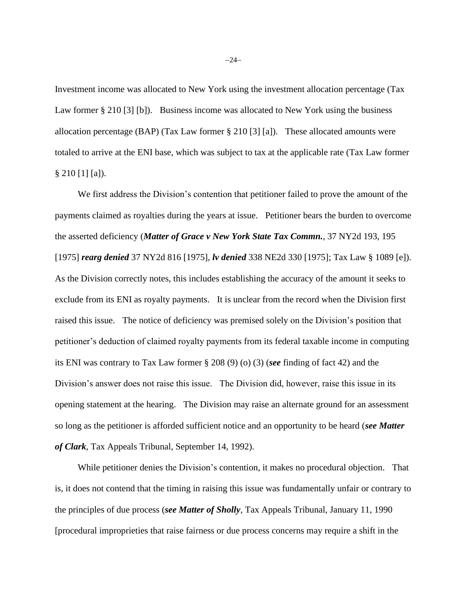Investment income was allocated to New York using the investment allocation percentage (Tax Law former § 210 [3] [b]). Business income was allocated to New York using the business allocation percentage (BAP) (Tax Law former § 210 [3] [a]). These allocated amounts were totaled to arrive at the ENI base, which was subject to tax at the applicable rate (Tax Law former § 210 [1] [a]).

We first address the Division's contention that petitioner failed to prove the amount of the payments claimed as royalties during the years at issue. Petitioner bears the burden to overcome the asserted deficiency (*Matter of Grace v New York State Tax Commn.*, 37 NY2d 193, 195 [1975] *rearg denied* 37 NY2d 816 [1975], *lv denied* 338 NE2d 330 [1975]; Tax Law § 1089 [e]). As the Division correctly notes, this includes establishing the accuracy of the amount it seeks to exclude from its ENI as royalty payments. It is unclear from the record when the Division first raised this issue. The notice of deficiency was premised solely on the Division's position that petitioner's deduction of claimed royalty payments from its federal taxable income in computing its ENI was contrary to Tax Law former § 208 (9) (o) (3) (*see* finding of fact 42) and the Division's answer does not raise this issue. The Division did, however, raise this issue in its opening statement at the hearing. The Division may raise an alternate ground for an assessment so long as the petitioner is afforded sufficient notice and an opportunity to be heard (*see Matter of Clark*, Tax Appeals Tribunal, September 14, 1992).

While petitioner denies the Division's contention, it makes no procedural objection. That is, it does not contend that the timing in raising this issue was fundamentally unfair or contrary to the principles of due process (*see Matter of Sholly*, Tax Appeals Tribunal, January 11, 1990 [procedural improprieties that raise fairness or due process concerns may require a shift in the

−24−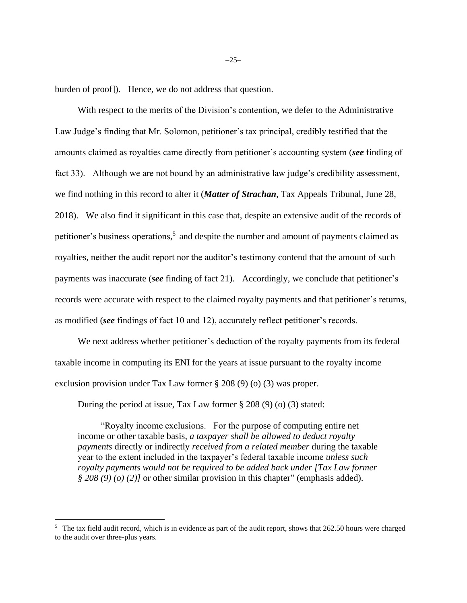burden of proof]). Hence, we do not address that question.

With respect to the merits of the Division's contention, we defer to the Administrative Law Judge's finding that Mr. Solomon, petitioner's tax principal, credibly testified that the amounts claimed as royalties came directly from petitioner's accounting system (*see* finding of fact 33). Although we are not bound by an administrative law judge's credibility assessment, we find nothing in this record to alter it (*Matter of Strachan*, Tax Appeals Tribunal, June 28, 2018). We also find it significant in this case that, despite an extensive audit of the records of petitioner's business operations,<sup>5</sup> and despite the number and amount of payments claimed as royalties, neither the audit report nor the auditor's testimony contend that the amount of such payments was inaccurate (*see* finding of fact 21). Accordingly, we conclude that petitioner's records were accurate with respect to the claimed royalty payments and that petitioner's returns, as modified (*see* findings of fact 10 and 12), accurately reflect petitioner's records.

We next address whether petitioner's deduction of the royalty payments from its federal taxable income in computing its ENI for the years at issue pursuant to the royalty income exclusion provision under Tax Law former § 208 (9) (o) (3) was proper.

During the period at issue, Tax Law former § 208 (9) (o) (3) stated:

"Royalty income exclusions. For the purpose of computing entire net income or other taxable basis, *a taxpayer shall be allowed to deduct royalty payments* directly or indirectly *received from a related member* during the taxable year to the extent included in the taxpayer's federal taxable income *unless such royalty payments would not be required to be added back under [Tax Law former § 208 (9) (o) (2)]* or other similar provision in this chapter" (emphasis added).

<sup>&</sup>lt;sup>5</sup> The tax field audit record, which is in evidence as part of the audit report, shows that 262.50 hours were charged to the audit over three-plus years.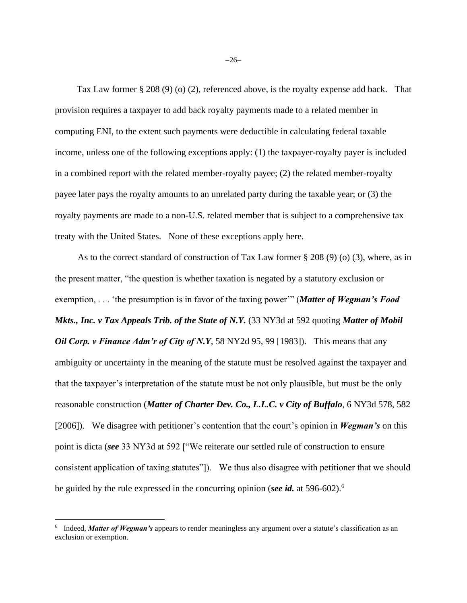Tax Law former § 208 (9) (o) (2), referenced above, is the royalty expense add back. That provision requires a taxpayer to add back royalty payments made to a related member in computing ENI, to the extent such payments were deductible in calculating federal taxable income, unless one of the following exceptions apply: (1) the taxpayer-royalty payer is included in a combined report with the related member-royalty payee; (2) the related member-royalty payee later pays the royalty amounts to an unrelated party during the taxable year; or (3) the royalty payments are made to a non-U.S. related member that is subject to a comprehensive tax treaty with the United States. None of these exceptions apply here.

As to the correct standard of construction of Tax Law former § 208 (9) (o) (3), where, as in the present matter, "the question is whether taxation is negated by a statutory exclusion or exemption, . . . 'the presumption is in favor of the taxing power'" (*Matter of Wegman's Food Mkts., Inc. v Tax Appeals Trib. of the State of N.Y.* (33 NY3d at 592 quoting *Matter of Mobil Oil Corp. v Finance Adm'r of City of N.Y.* 58 NY2d 95, 99 [1983]). This means that any ambiguity or uncertainty in the meaning of the statute must be resolved against the taxpayer and that the taxpayer's interpretation of the statute must be not only plausible, but must be the only reasonable construction (*Matter of Charter Dev. Co., L.L.C. v City of Buffalo*, 6 NY3d 578, 582 [2006]). We disagree with petitioner's contention that the court's opinion in *Wegman's* on this point is dicta (*see* 33 NY3d at 592 ["We reiterate our settled rule of construction to ensure consistent application of taxing statutes"]). We thus also disagree with petitioner that we should be guided by the rule expressed in the concurring opinion (*see id.* at 596-602).<sup>6</sup>

<sup>&</sup>lt;sup>6</sup> Indeed, *Matter of Wegman's* appears to render meaningless any argument over a statute's classification as an exclusion or exemption.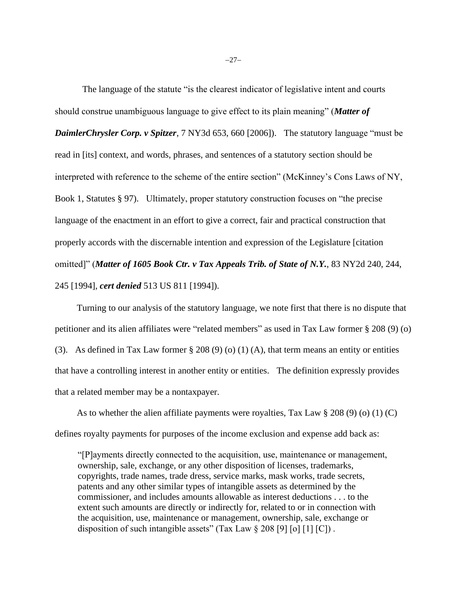The language of the statute "is the clearest indicator of legislative intent and courts should construe unambiguous language to give effect to its plain meaning" (*Matter of DaimlerChrysler Corp. v Spitzer*, 7 NY3d 653, 660 [2006]). The statutory language "must be read in [its] context, and words, phrases, and sentences of a statutory section should be interpreted with reference to the scheme of the entire section" (McKinney's Cons Laws of NY, Book 1, Statutes § 97). Ultimately, proper statutory construction focuses on "the precise language of the enactment in an effort to give a correct, fair and practical construction that properly accords with the discernable intention and expression of the Legislature [citation omitted]" (*Matter of 1605 Book Ctr. v Tax Appeals Trib. of State of N.Y.*, 83 NY2d 240, 244, 245 [1994], *cert denied* 513 US 811 [1994]).

 Turning to our analysis of the statutory language, we note first that there is no dispute that petitioner and its alien affiliates were "related members" as used in Tax Law former § 208 (9) (o) (3). As defined in Tax Law former  $\S 208 (9) (0) (1) (A)$ , that term means an entity or entities that have a controlling interest in another entity or entities. The definition expressly provides that a related member may be a nontaxpayer.

 As to whether the alien affiliate payments were royalties, Tax Law § 208 (9) (o) (1) (C) defines royalty payments for purposes of the income exclusion and expense add back as:

"[P]ayments directly connected to the acquisition, use, maintenance or management, ownership, sale, exchange, or any other disposition of licenses, trademarks, copyrights, trade names, trade dress, service marks, mask works, trade secrets, patents and any other similar types of intangible assets as determined by the commissioner, and includes amounts allowable as interest deductions . . . to the extent such amounts are directly or indirectly for, related to or in connection with the acquisition, use, maintenance or management, ownership, sale, exchange or disposition of such intangible assets" (Tax Law  $\S 208$  [9] [o] [1] [C]).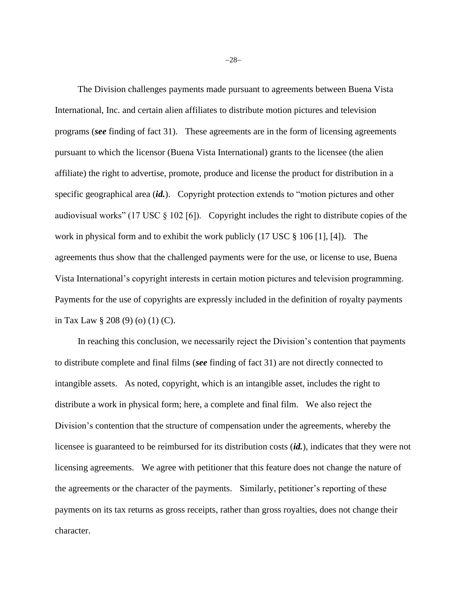The Division challenges payments made pursuant to agreements between Buena Vista International, Inc. and certain alien affiliates to distribute motion pictures and television programs (*see* finding of fact 31). These agreements are in the form of licensing agreements pursuant to which the licensor (Buena Vista International) grants to the licensee (the alien affiliate) the right to advertise, promote, produce and license the product for distribution in a specific geographical area (*id.*). Copyright protection extends to "motion pictures and other audiovisual works" (17 USC § 102 [6]). Copyright includes the right to distribute copies of the work in physical form and to exhibit the work publicly (17 USC § 106 [1], [4]). The agreements thus show that the challenged payments were for the use, or license to use, Buena Vista International's copyright interests in certain motion pictures and television programming. Payments for the use of copyrights are expressly included in the definition of royalty payments in Tax Law § 208 (9) (o) (1) (C).

In reaching this conclusion, we necessarily reject the Division's contention that payments to distribute complete and final films (*see* finding of fact 31) are not directly connected to intangible assets. As noted, copyright, which is an intangible asset, includes the right to distribute a work in physical form; here, a complete and final film. We also reject the Division's contention that the structure of compensation under the agreements, whereby the licensee is guaranteed to be reimbursed for its distribution costs (*id.*), indicates that they were not licensing agreements. We agree with petitioner that this feature does not change the nature of the agreements or the character of the payments. Similarly, petitioner's reporting of these payments on its tax returns as gross receipts, rather than gross royalties, does not change their character.

−28−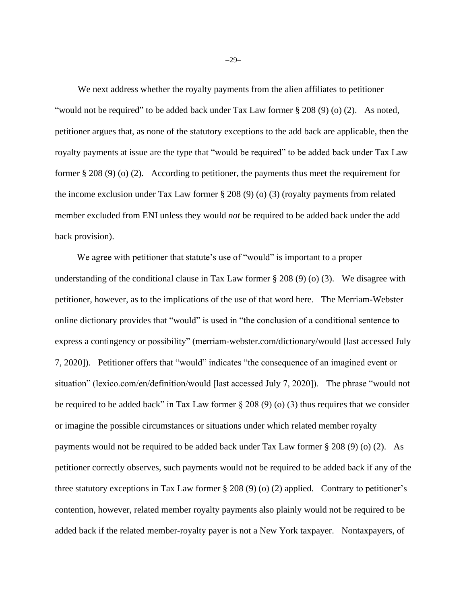We next address whether the royalty payments from the alien affiliates to petitioner "would not be required" to be added back under Tax Law former  $\S 208 (9) (0) (2)$ . As noted, petitioner argues that, as none of the statutory exceptions to the add back are applicable, then the royalty payments at issue are the type that "would be required" to be added back under Tax Law former § 208 (9) (o) (2). According to petitioner, the payments thus meet the requirement for the income exclusion under Tax Law former § 208 (9) (o) (3) (royalty payments from related member excluded from ENI unless they would *not* be required to be added back under the add back provision).

We agree with petitioner that statute's use of "would" is important to a proper understanding of the conditional clause in Tax Law former  $\S 208 (9) (0) (3)$ . We disagree with petitioner, however, as to the implications of the use of that word here. The Merriam-Webster online dictionary provides that "would" is used in "the conclusion of a conditional sentence to express a contingency or possibility" (merriam-webster.com/dictionary/would [last accessed July 7, 2020]). Petitioner offers that "would" indicates "the consequence of an imagined event or situation" (lexico.com/en/definition/would [last accessed July 7, 2020]). The phrase "would not be required to be added back" in Tax Law former  $\S 208 (9) (o) (3)$  thus requires that we consider or imagine the possible circumstances or situations under which related member royalty payments would not be required to be added back under Tax Law former § 208 (9) (o) (2). As petitioner correctly observes, such payments would not be required to be added back if any of the three statutory exceptions in Tax Law former § 208 (9) (o) (2) applied. Contrary to petitioner's contention, however, related member royalty payments also plainly would not be required to be added back if the related member-royalty payer is not a New York taxpayer. Nontaxpayers, of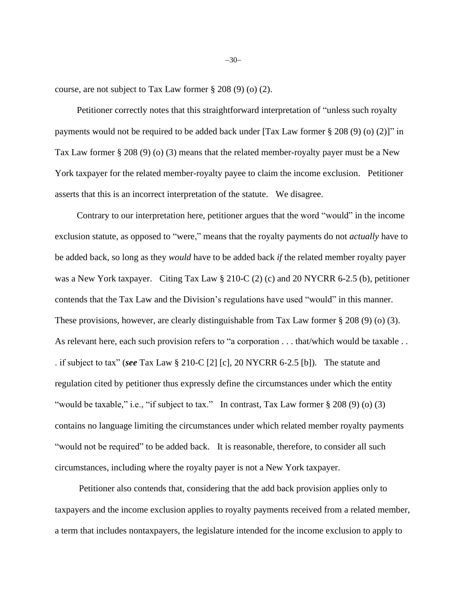course, are not subject to Tax Law former § 208 (9) (o) (2).

 Petitioner correctly notes that this straightforward interpretation of "unless such royalty payments would not be required to be added back under [Tax Law former § 208 (9) (o) (2)]" in Tax Law former § 208 (9) (o) (3) means that the related member-royalty payer must be a New York taxpayer for the related member-royalty payee to claim the income exclusion. Petitioner asserts that this is an incorrect interpretation of the statute. We disagree.

 Contrary to our interpretation here, petitioner argues that the word "would" in the income exclusion statute, as opposed to "were," means that the royalty payments do not *actually* have to be added back, so long as they *would* have to be added back *if* the related member royalty payer was a New York taxpayer. Citing Tax Law § 210-C (2) (c) and 20 NYCRR 6-2.5 (b), petitioner contends that the Tax Law and the Division's regulations have used "would" in this manner. These provisions, however, are clearly distinguishable from Tax Law former § 208 (9) (o) (3). As relevant here, each such provision refers to "a corporation . . . that/which would be taxable . . . if subject to tax" (*see* Tax Law § 210-C [2] [c], 20 NYCRR 6-2.5 [b]). The statute and regulation cited by petitioner thus expressly define the circumstances under which the entity "would be taxable," i.e., "if subject to tax." In contrast, Tax Law former § 208 (9) (o) (3) contains no language limiting the circumstances under which related member royalty payments "would not be required" to be added back. It is reasonable, therefore, to consider all such circumstances, including where the royalty payer is not a New York taxpayer.

Petitioner also contends that, considering that the add back provision applies only to taxpayers and the income exclusion applies to royalty payments received from a related member, a term that includes nontaxpayers, the legislature intended for the income exclusion to apply to

−30−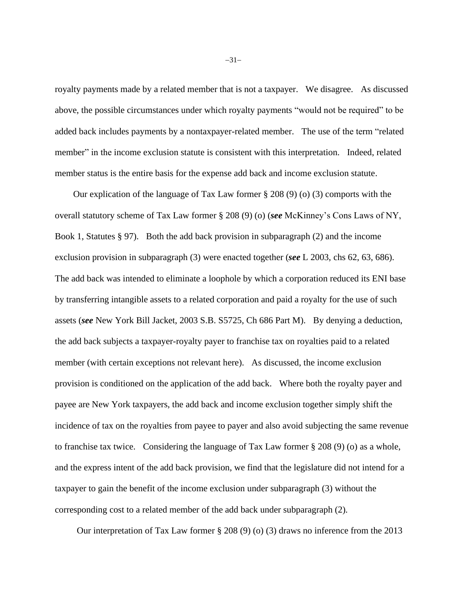royalty payments made by a related member that is not a taxpayer. We disagree. As discussed above, the possible circumstances under which royalty payments "would not be required" to be added back includes payments by a nontaxpayer-related member. The use of the term "related member" in the income exclusion statute is consistent with this interpretation. Indeed, related member status is the entire basis for the expense add back and income exclusion statute.

Our explication of the language of Tax Law former  $\S 208 (9)$  (o) (3) comports with the overall statutory scheme of Tax Law former § 208 (9) (o) (*see* McKinney's Cons Laws of NY, Book 1, Statutes § 97). Both the add back provision in subparagraph (2) and the income exclusion provision in subparagraph (3) were enacted together (*see* L 2003, chs 62, 63, 686). The add back was intended to eliminate a loophole by which a corporation reduced its ENI base by transferring intangible assets to a related corporation and paid a royalty for the use of such assets (*see* New York Bill Jacket, 2003 S.B. S5725, Ch 686 Part M). By denying a deduction, the add back subjects a taxpayer-royalty payer to franchise tax on royalties paid to a related member (with certain exceptions not relevant here). As discussed, the income exclusion provision is conditioned on the application of the add back. Where both the royalty payer and payee are New York taxpayers, the add back and income exclusion together simply shift the incidence of tax on the royalties from payee to payer and also avoid subjecting the same revenue to franchise tax twice. Considering the language of Tax Law former § 208 (9) (o) as a whole, and the express intent of the add back provision, we find that the legislature did not intend for a taxpayer to gain the benefit of the income exclusion under subparagraph (3) without the corresponding cost to a related member of the add back under subparagraph (2).

Our interpretation of Tax Law former § 208 (9) (o) (3) draws no inference from the 2013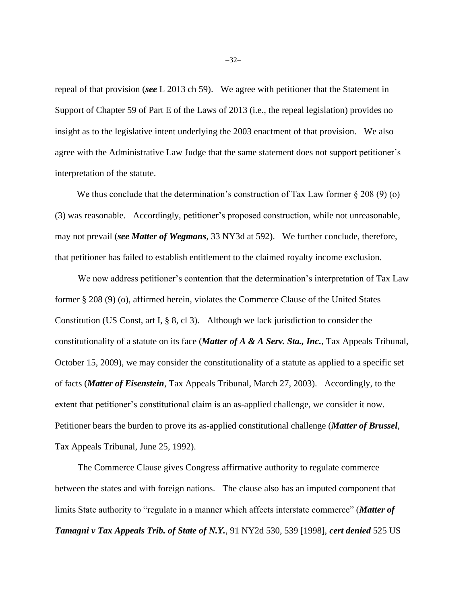repeal of that provision (*see* L 2013 ch 59). We agree with petitioner that the Statement in Support of Chapter 59 of Part E of the Laws of 2013 (i.e., the repeal legislation) provides no insight as to the legislative intent underlying the 2003 enactment of that provision. We also agree with the Administrative Law Judge that the same statement does not support petitioner's interpretation of the statute.

We thus conclude that the determination's construction of Tax Law former  $\S 208 (9)$  (o) (3) was reasonable. Accordingly, petitioner's proposed construction, while not unreasonable, may not prevail (*see Matter of Wegmans*, 33 NY3d at 592). We further conclude, therefore, that petitioner has failed to establish entitlement to the claimed royalty income exclusion.

We now address petitioner's contention that the determination's interpretation of Tax Law former § 208 (9) (o), affirmed herein, violates the Commerce Clause of the United States Constitution (US Const, art I, § 8, cl 3). Although we lack jurisdiction to consider the constitutionality of a statute on its face (*Matter of A & A Serv. Sta., Inc.*, Tax Appeals Tribunal, October 15, 2009), we may consider the constitutionality of a statute as applied to a specific set of facts (*Matter of Eisenstein*, Tax Appeals Tribunal, March 27, 2003). Accordingly, to the extent that petitioner's constitutional claim is an as-applied challenge, we consider it now. Petitioner bears the burden to prove its as-applied constitutional challenge (*Matter of Brussel*, Tax Appeals Tribunal, June 25, 1992).

The Commerce Clause gives Congress affirmative authority to regulate commerce between the states and with foreign nations. The clause also has an imputed component that limits State authority to "regulate in a manner which affects interstate commerce" (*Matter of Tamagni v Tax Appeals Trib. of State of N.Y.*, 91 NY2d 530, 539 [1998], *cert denied* 525 US

−32−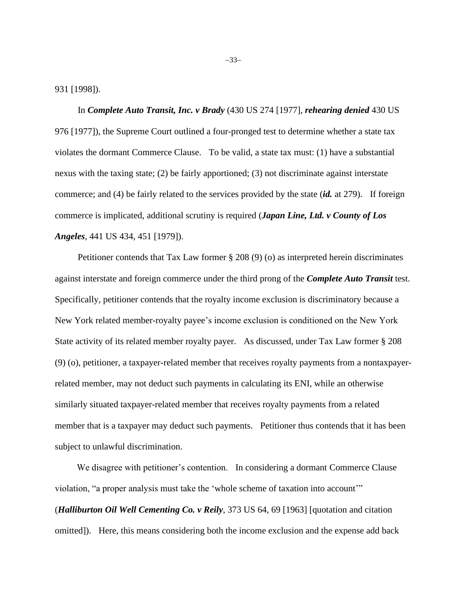931 [1998]).

In *Complete Auto Transit, Inc. v Brady* (430 US 274 [1977], *rehearing denied* 430 US 976 [1977]), the Supreme Court outlined a four-pronged test to determine whether a state tax violates the dormant Commerce Clause. To be valid, a state tax must: (1) have a substantial nexus with the taxing state; (2) be fairly apportioned; (3) not discriminate against interstate commerce; and (4) be fairly related to the services provided by the state (*id.* at 279). If foreign commerce is implicated, additional scrutiny is required (*Japan Line, Ltd. v County of Los Angeles*, 441 US 434, 451 [1979]).

Petitioner contends that Tax Law former § 208 (9) (o) as interpreted herein discriminates against interstate and foreign commerce under the third prong of the *Complete Auto Transit* test. Specifically, petitioner contends that the royalty income exclusion is discriminatory because a New York related member-royalty payee's income exclusion is conditioned on the New York State activity of its related member royalty payer. As discussed, under Tax Law former § 208 (9) (o), petitioner, a taxpayer-related member that receives royalty payments from a nontaxpayerrelated member, may not deduct such payments in calculating its ENI, while an otherwise similarly situated taxpayer-related member that receives royalty payments from a related member that is a taxpayer may deduct such payments. Petitioner thus contends that it has been subject to unlawful discrimination.

 We disagree with petitioner's contention. In considering a dormant Commerce Clause violation, "a proper analysis must take the 'whole scheme of taxation into account'" (*Halliburton Oil Well Cementing Co. v Reily*, 373 US 64, 69 [1963] [quotation and citation omitted]). Here, this means considering both the income exclusion and the expense add back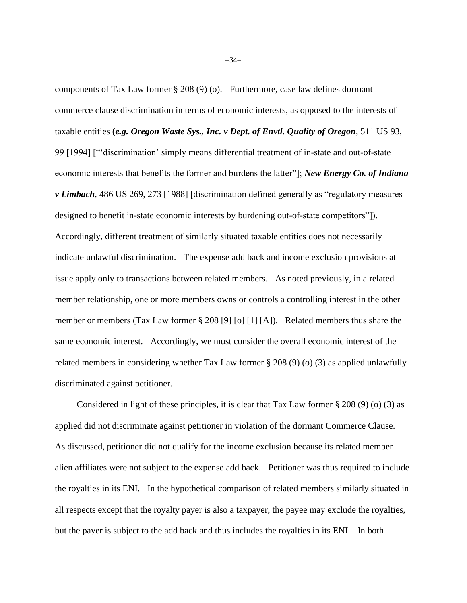components of Tax Law former § 208 (9) (o). Furthermore, case law defines dormant commerce clause discrimination in terms of economic interests, as opposed to the interests of taxable entities (*e.g. Oregon Waste Sys., Inc. v Dept. of Envtl. Quality of Oregon*, 511 US 93, 99 [1994] ["'discrimination' simply means differential treatment of in-state and out-of-state economic interests that benefits the former and burdens the latter"]; *New Energy Co. of Indiana v Limbach*, 486 US 269, 273 [1988] [discrimination defined generally as "regulatory measures designed to benefit in-state economic interests by burdening out-of-state competitors"]). Accordingly, different treatment of similarly situated taxable entities does not necessarily indicate unlawful discrimination. The expense add back and income exclusion provisions at issue apply only to transactions between related members. As noted previously, in a related member relationship, one or more members owns or controls a controlling interest in the other member or members (Tax Law former § 208 [9] [o] [1] [A]). Related members thus share the same economic interest. Accordingly, we must consider the overall economic interest of the related members in considering whether Tax Law former § 208 (9) (o) (3) as applied unlawfully discriminated against petitioner.

Considered in light of these principles, it is clear that Tax Law former  $\S 208 (9)$  (o) (3) as applied did not discriminate against petitioner in violation of the dormant Commerce Clause. As discussed, petitioner did not qualify for the income exclusion because its related member alien affiliates were not subject to the expense add back. Petitioner was thus required to include the royalties in its ENI. In the hypothetical comparison of related members similarly situated in all respects except that the royalty payer is also a taxpayer, the payee may exclude the royalties, but the payer is subject to the add back and thus includes the royalties in its ENI. In both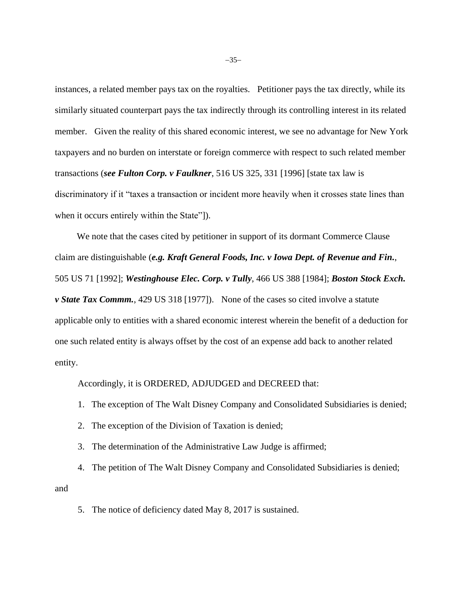instances, a related member pays tax on the royalties. Petitioner pays the tax directly, while its similarly situated counterpart pays the tax indirectly through its controlling interest in its related member. Given the reality of this shared economic interest, we see no advantage for New York taxpayers and no burden on interstate or foreign commerce with respect to such related member transactions (*see Fulton Corp. v Faulkner*, 516 US 325, 331 [1996] [state tax law is discriminatory if it "taxes a transaction or incident more heavily when it crosses state lines than when it occurs entirely within the State"]).

 We note that the cases cited by petitioner in support of its dormant Commerce Clause claim are distinguishable (*e.g. Kraft General Foods, Inc. v Iowa Dept. of Revenue and Fin.*, 505 US 71 [1992]; *Westinghouse Elec. Corp. v Tully*, 466 US 388 [1984]; *Boston Stock Exch. v State Tax Commm.*, 429 US 318 [1977]). None of the cases so cited involve a statute applicable only to entities with a shared economic interest wherein the benefit of a deduction for one such related entity is always offset by the cost of an expense add back to another related entity.

Accordingly, it is ORDERED, ADJUDGED and DECREED that:

- 1. The exception of The Walt Disney Company and Consolidated Subsidiaries is denied;
- 2. The exception of the Division of Taxation is denied;
- 3. The determination of the Administrative Law Judge is affirmed;

4. The petition of The Walt Disney Company and Consolidated Subsidiaries is denied; and

5. The notice of deficiency dated May 8, 2017 is sustained.